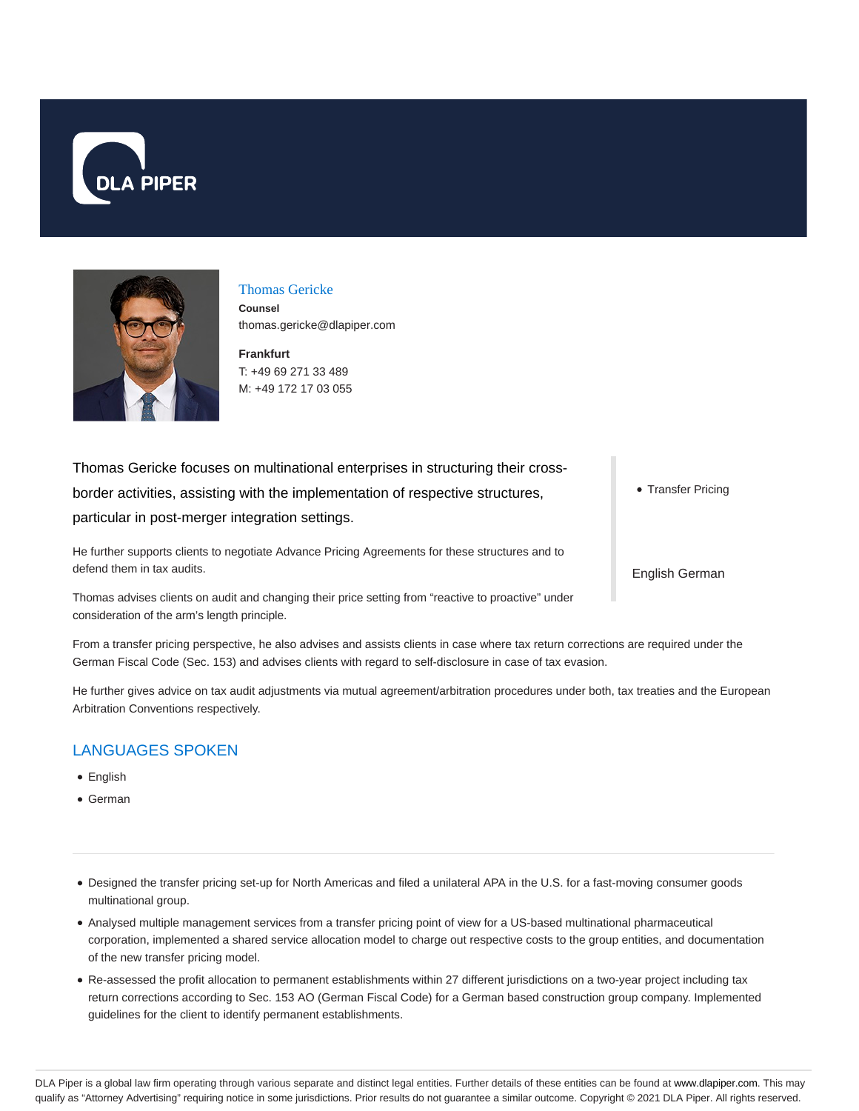



#### Thomas Gericke

**Counsel** thomas.gericke@dlapiper.com

**Frankfurt** T: +49 69 271 33 489 M: +49 172 17 03 055

Thomas Gericke focuses on multinational enterprises in structuring their crossborder activities, assisting with the implementation of respective structures, particular in post-merger integration settings.

He further supports clients to negotiate Advance Pricing Agreements for these structures and to defend them in tax audits.

Thomas advises clients on audit and changing their price setting from "reactive to proactive" under consideration of the arm's length principle.

From a transfer pricing perspective, he also advises and assists clients in case where tax return corrections are required under the German Fiscal Code (Sec. 153) and advises clients with regard to self-disclosure in case of tax evasion.

He further gives advice on tax audit adjustments via mutual agreement/arbitration procedures under both, tax treaties and the European Arbitration Conventions respectively.

# LANGUAGES SPOKEN

- English
- German
- Designed the transfer pricing set-up for North Americas and filed a unilateral APA in the U.S. for a fast-moving consumer goods multinational group.
- Analysed multiple management services from a transfer pricing point of view for a US-based multinational pharmaceutical corporation, implemented a shared service allocation model to charge out respective costs to the group entities, and documentation of the new transfer pricing model.
- Re-assessed the profit allocation to permanent establishments within 27 different jurisdictions on a two-year project including tax return corrections according to Sec. 153 AO (German Fiscal Code) for a German based construction group company. Implemented guidelines for the client to identify permanent establishments.

• Transfer Pricing

English German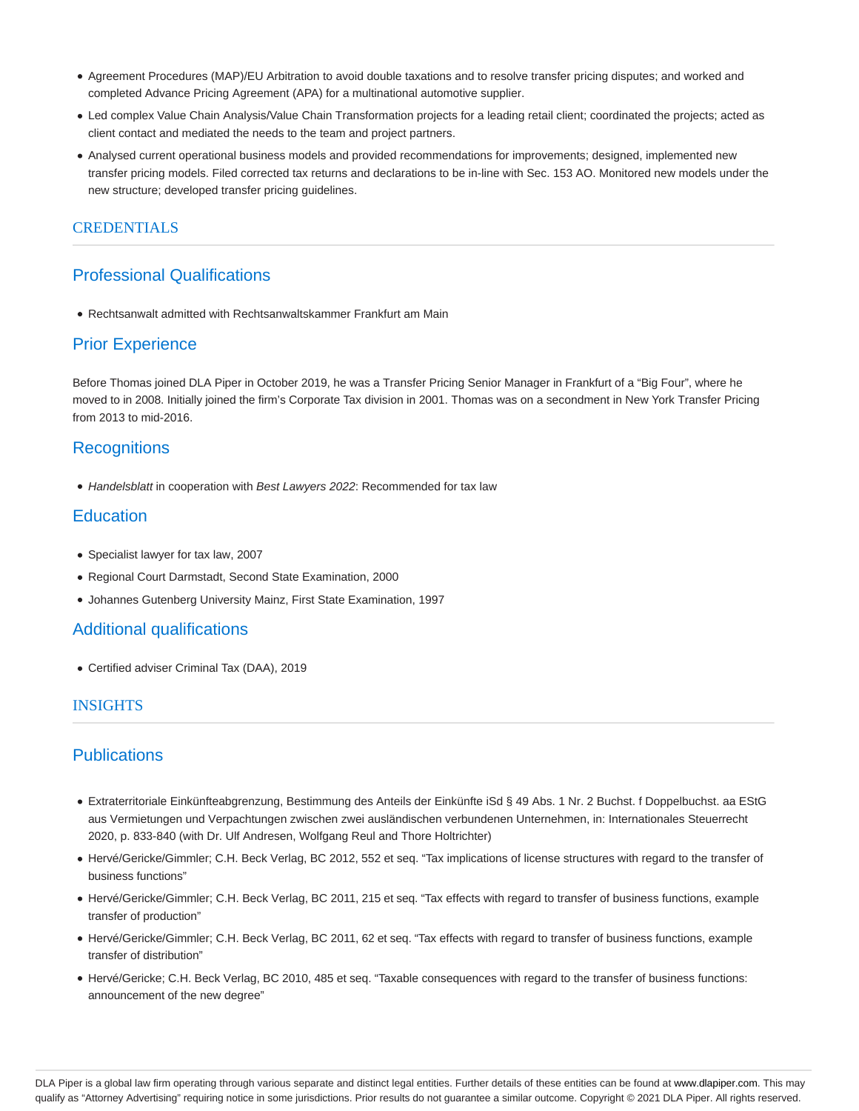- Agreement Procedures (MAP)/EU Arbitration to avoid double taxations and to resolve transfer pricing disputes; and worked and completed Advance Pricing Agreement (APA) for a multinational automotive supplier.
- Led complex Value Chain Analysis/Value Chain Transformation projects for a leading retail client; coordinated the projects; acted as client contact and mediated the needs to the team and project partners.
- Analysed current operational business models and provided recommendations for improvements; designed, implemented new transfer pricing models. Filed corrected tax returns and declarations to be in-line with Sec. 153 AO. Monitored new models under the new structure; developed transfer pricing guidelines.

## CREDENTIALS

# Professional Qualifications

Rechtsanwalt admitted with Rechtsanwaltskammer Frankfurt am Main

# Prior Experience

Before Thomas joined DLA Piper in October 2019, he was a Transfer Pricing Senior Manager in Frankfurt of a "Big Four", where he moved to in 2008. Initially joined the firm's Corporate Tax division in 2001. Thomas was on a secondment in New York Transfer Pricing from 2013 to mid-2016.

# **Recognitions**

• Handelsblatt in cooperation with Best Lawyers 2022: Recommended for tax law

# **Education**

- Specialist lawyer for tax law, 2007
- Regional Court Darmstadt, Second State Examination, 2000
- Johannes Gutenberg University Mainz, First State Examination, 1997

## Additional qualifications

Certified adviser Criminal Tax (DAA), 2019

#### **INSIGHTS**

# **Publications**

- Extraterritoriale Einkünfteabgrenzung, Bestimmung des Anteils der Einkünfte iSd § 49 Abs. 1 Nr. 2 Buchst. f Doppelbuchst. aa EStG aus Vermietungen und Verpachtungen zwischen zwei ausländischen verbundenen Unternehmen, in: Internationales Steuerrecht 2020, p. 833-840 (with Dr. Ulf Andresen, Wolfgang Reul and Thore Holtrichter)
- Hervé/Gericke/Gimmler; C.H. Beck Verlag, BC 2012, 552 et seq. "Tax implications of license structures with regard to the transfer of business functions"
- Hervé/Gericke/Gimmler; C.H. Beck Verlag, BC 2011, 215 et seq. "Tax effects with regard to transfer of business functions, example transfer of production"
- Hervé/Gericke/Gimmler; C.H. Beck Verlag, BC 2011, 62 et seq. "Tax effects with regard to transfer of business functions, example transfer of distribution"
- Hervé/Gericke; C.H. Beck Verlag, BC 2010, 485 et seq. "Taxable consequences with regard to the transfer of business functions: announcement of the new degree"